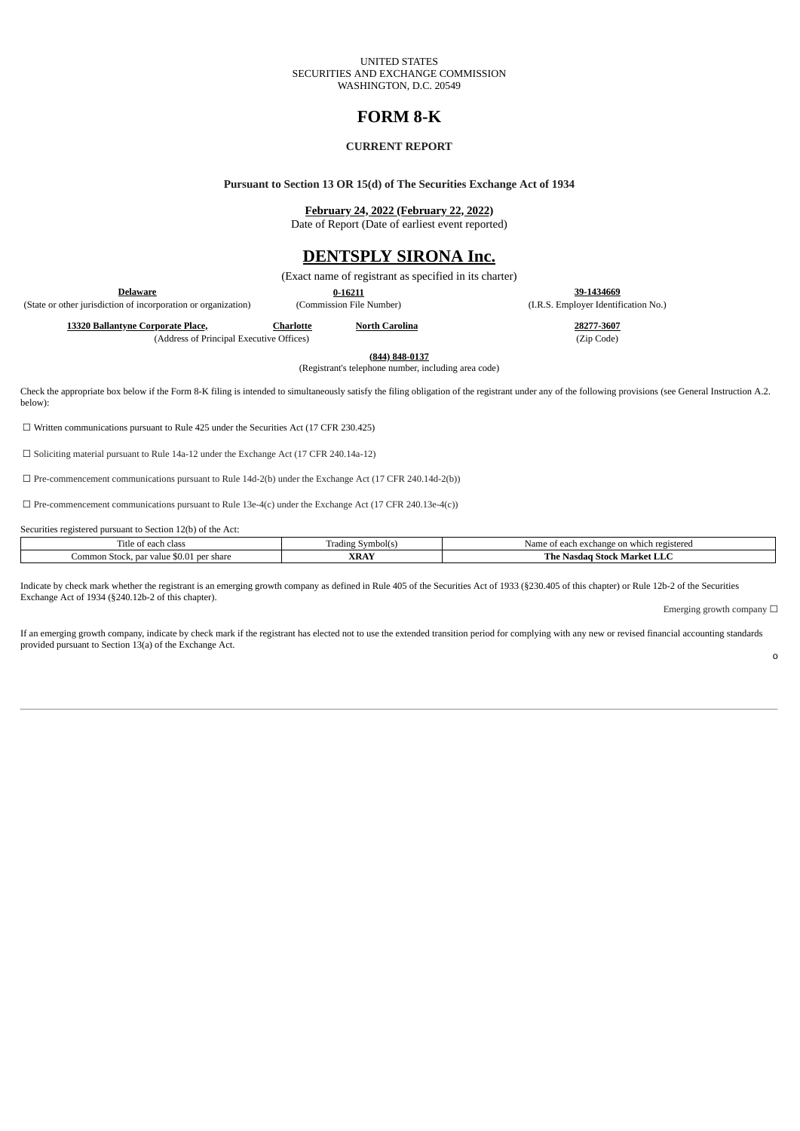### UNITED STATES SECURITIES AND EXCHANGE COMMISSION WASHINGTON, D.C. 20549

## **FORM 8-K**

## **CURRENT REPORT**

**Pursuant to Section 13 OR 15(d) of The Securities Exchange Act of 1934**

#### **February 24, 2022 (February 22, 2022)**

Date of Report (Date of earliest event reported)

## **DENTSPLY SIRONA Inc.**

(Exact name of registrant as specified in its charter)

**Delaware 0-16211 39-1434669**

(State or other jurisdiction of incorporation or organization) (Commission File Number) (I.R.S. Employer Identification No.)

**13320 Ballantyne Corporate Place, Charlotte North Carolina 28277-3607**

(Address of Principal Executive Offices) (Zip Code)

**(844) 848-0137**

(Registrant's telephone number, including area code)

Check the appropriate box below if the Form 8-K filing is intended to simultaneously satisfy the filing obligation of the registrant under any of the following provisions (see General Instruction A.2. below):

☐ Written communications pursuant to Rule 425 under the Securities Act (17 CFR 230.425)

☐ Soliciting material pursuant to Rule 14a-12 under the Exchange Act (17 CFR 240.14a-12)

☐ Pre-commencement communications pursuant to Rule 14d-2(b) under the Exchange Act (17 CFR 240.14d-2(b))

☐ Pre-commencement communications pursuant to Rule 13e-4(c) under the Exchange Act (17 CFR 240.13e-4(c))

Securities registered pursuant to Section 12(b) of the Act:

| ritle of ea<br>class                                                  | rading .<br>Symbol | registered<br>on whi<br>Nar<br>.change<br>. 1.9XC<br>$-$<br>$\cdots$<br>. |
|-----------------------------------------------------------------------|--------------------|---------------------------------------------------------------------------|
| - 50<br>.ommon<br>per share<br>par<br><b>Stoc</b><br>. valur<br>JU.U. | .<br>πъ.           | Ľh<br>Sto<br>Market<br>Nasdad<br>. LLC                                    |

Indicate by check mark whether the registrant is an emerging growth company as defined in Rule 405 of the Securities Act of 1933 (§230.405 of this chapter) or Rule 12b-2 of the Securities Exchange Act of 1934 (§240.12b-2 of this chapter).

Emerging growth company  $\Box$ 

If an emerging growth company, indicate by check mark if the registrant has elected not to use the extended transition period for complying with any new or revised financial accounting standards provided pursuant to Section 13(a) of the Exchange Act.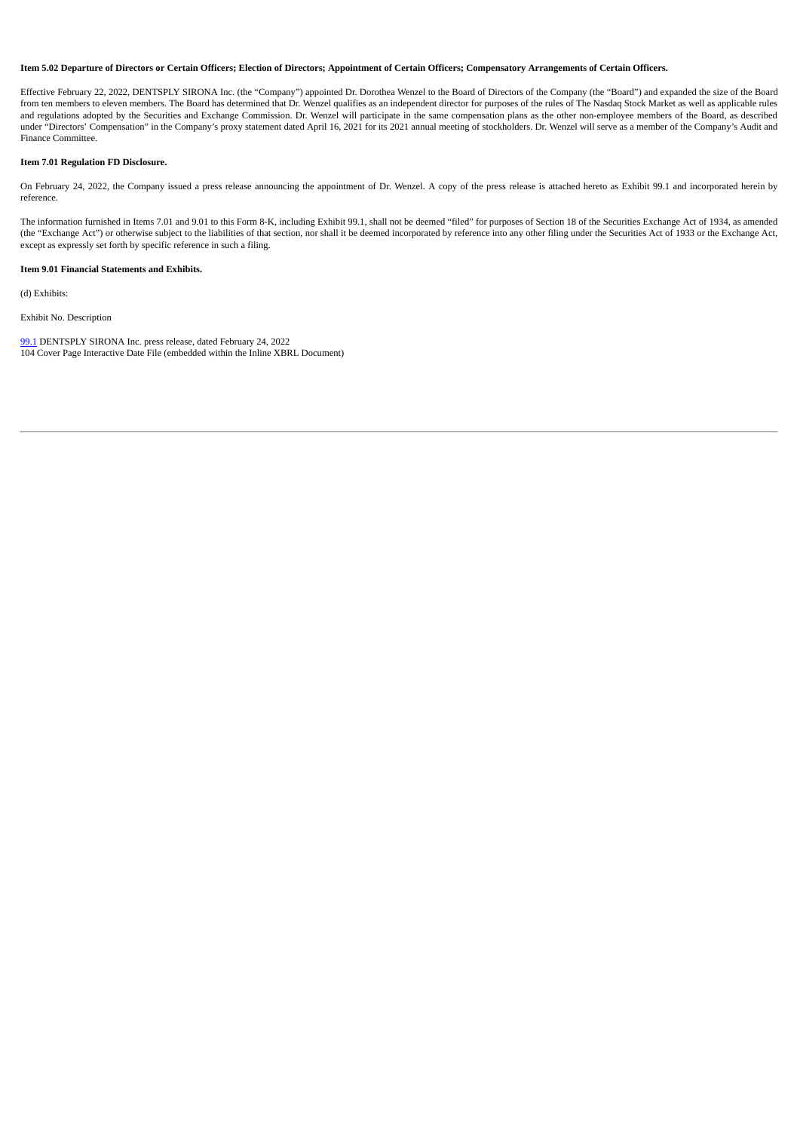## Item 5.02 Departure of Directors or Certain Officers; Election of Directors; Appointment of Certain Officers; Compensatory Arrangements of Certain Officers.

Effective February 22, 2022, DENTSPLY SIRONA Inc. (the "Company") appointed Dr. Dorothea Wenzel to the Board of Directors of the Company (the "Board") and expanded the size of the Board from ten members to eleven members. The Board has determined that Dr. Wenzel qualifies as an independent director for purposes of the rules of The Nasdaq Stock Market as well as applicable rules and regulations adopted by the Securities and Exchange Commission. Dr. Wenzel will participate in the same compensation plans as the other non-employee members of the Board, as described under "Directors' Compensation" in the Company's proxy statement dated April 16, 2021 for its 2021 annual meeting of stockholders. Dr. Wenzel will serve as a member of the Company's Audit and Finance Committee.

#### **Item 7.01 Regulation FD Disclosure.**

On February 24, 2022, the Company issued a press release announcing the appointment of Dr. Wenzel. A copy of the press release is attached hereto as Exhibit 99.1 and incorporated herein by reference.

The information furnished in Items 7.01 and 9.01 to this Form 8-K, including Exhibit 99.1, shall not be deemed "filed" for purposes of Section 18 of the Securities Exchange Act of 1934, as amended (the "Exchange Act") or otherwise subject to the liabilities of that section, nor shall it be deemed incorporated by reference into any other filing under the Securities Act of 1933 or the Exchange Act, except as expressly set forth by specific reference in such a filing.

### **Item 9.01 Financial Statements and Exhibits.**

(d) Exhibits:

Exhibit No. Description

[99.1](#page-3-0) DENTSPLY SIRONA Inc. press release, dated February 24, 2022 104 Cover Page Interactive Date File (embedded within the Inline XBRL Document)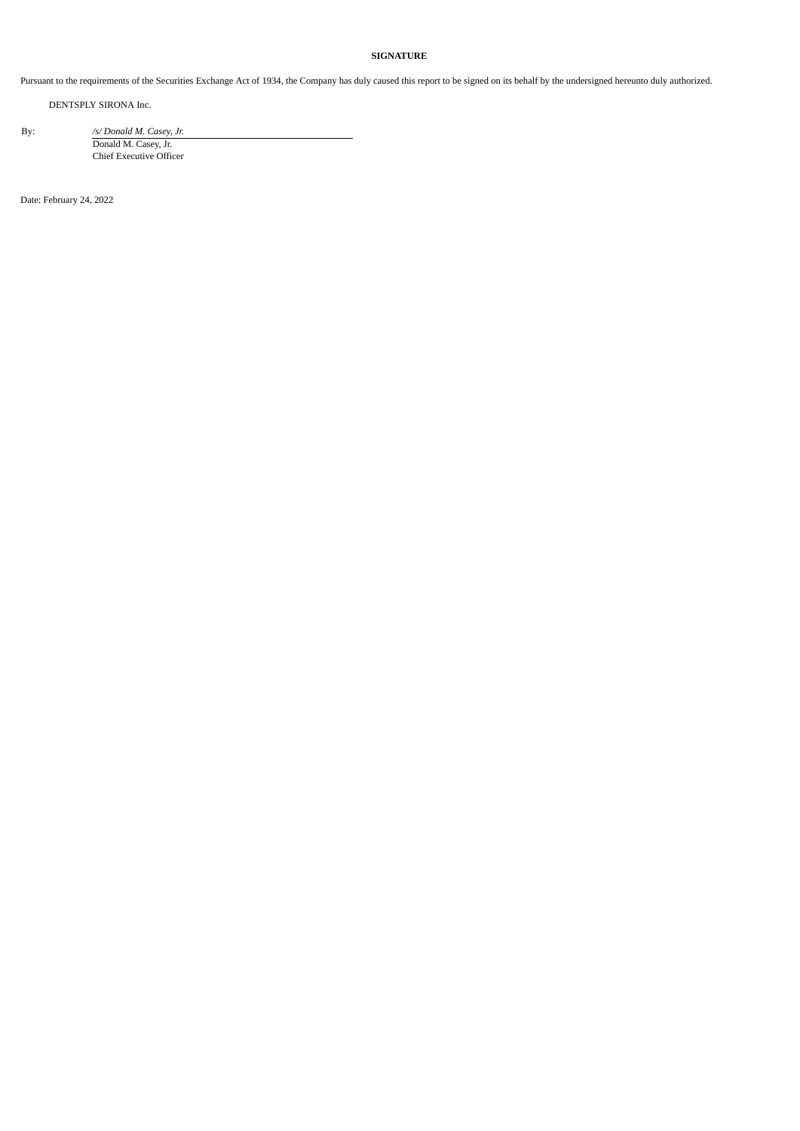## **SIGNATURE**

Pursuant to the requirements of the Securities Exchange Act of 1934, the Company has duly caused this report to be signed on its behalf by the undersigned hereunto duly authorized.

DENTSPLY SIRONA Inc.

By: */s/ Donald M. Casey, Jr.* Donald M. Casey, Jr. Chief Executive Officer

Date: February 24, 2022